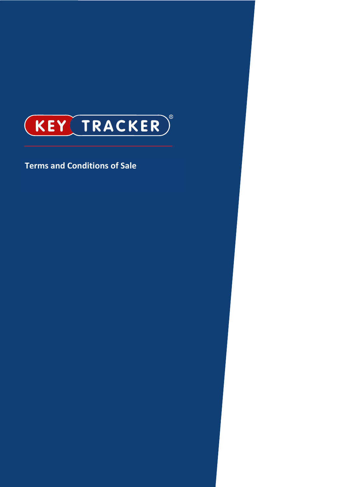

# **Terms and Conditions of Sale**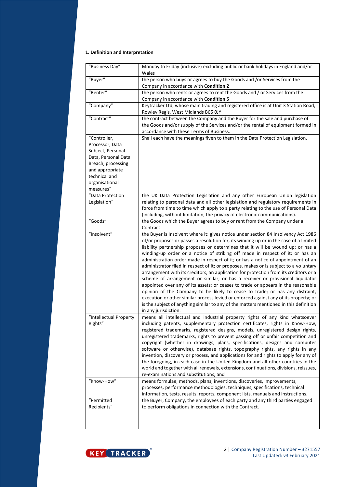# **1. Definition and Interpretation**

| "Business Day"                    | Monday to Friday (inclusive) excluding public or bank holidays in England and/or<br>Wales                                                                                                                                                                                                                                                                                                                                                                                                                                                                                                                                                                                                                                                                                                                                                                                                                                                                                                       |
|-----------------------------------|-------------------------------------------------------------------------------------------------------------------------------------------------------------------------------------------------------------------------------------------------------------------------------------------------------------------------------------------------------------------------------------------------------------------------------------------------------------------------------------------------------------------------------------------------------------------------------------------------------------------------------------------------------------------------------------------------------------------------------------------------------------------------------------------------------------------------------------------------------------------------------------------------------------------------------------------------------------------------------------------------|
| "Buyer"                           | the person who buys or agrees to buy the Goods and /or Services from the<br>Company in accordance with Condition 2                                                                                                                                                                                                                                                                                                                                                                                                                                                                                                                                                                                                                                                                                                                                                                                                                                                                              |
| "Renter"                          | the person who rents or agrees to rent the Goods and / or Services from the                                                                                                                                                                                                                                                                                                                                                                                                                                                                                                                                                                                                                                                                                                                                                                                                                                                                                                                     |
|                                   | Company in accordance with Condition 5                                                                                                                                                                                                                                                                                                                                                                                                                                                                                                                                                                                                                                                                                                                                                                                                                                                                                                                                                          |
| "Company"                         | Keytracker Ltd, whose main trading and registered office is at Unit 3 Station Road,                                                                                                                                                                                                                                                                                                                                                                                                                                                                                                                                                                                                                                                                                                                                                                                                                                                                                                             |
|                                   | Rowley Regis, West Midlands B65 0JY                                                                                                                                                                                                                                                                                                                                                                                                                                                                                                                                                                                                                                                                                                                                                                                                                                                                                                                                                             |
| "Contract"                        | the contract between the Company and the Buyer for the sale and purchase of                                                                                                                                                                                                                                                                                                                                                                                                                                                                                                                                                                                                                                                                                                                                                                                                                                                                                                                     |
|                                   | the Goods and/or supply of the Services and/or the rental of equipment formed in                                                                                                                                                                                                                                                                                                                                                                                                                                                                                                                                                                                                                                                                                                                                                                                                                                                                                                                |
|                                   | accordance with these Terms of Business.                                                                                                                                                                                                                                                                                                                                                                                                                                                                                                                                                                                                                                                                                                                                                                                                                                                                                                                                                        |
| "Controller,                      | Shall each have the meanings fiven to them in the Data Protection Legislation.                                                                                                                                                                                                                                                                                                                                                                                                                                                                                                                                                                                                                                                                                                                                                                                                                                                                                                                  |
| Processor, Data                   |                                                                                                                                                                                                                                                                                                                                                                                                                                                                                                                                                                                                                                                                                                                                                                                                                                                                                                                                                                                                 |
| Subject, Personal                 |                                                                                                                                                                                                                                                                                                                                                                                                                                                                                                                                                                                                                                                                                                                                                                                                                                                                                                                                                                                                 |
| Data, Personal Data               |                                                                                                                                                                                                                                                                                                                                                                                                                                                                                                                                                                                                                                                                                                                                                                                                                                                                                                                                                                                                 |
| Breach, processing                |                                                                                                                                                                                                                                                                                                                                                                                                                                                                                                                                                                                                                                                                                                                                                                                                                                                                                                                                                                                                 |
| and appropriate                   |                                                                                                                                                                                                                                                                                                                                                                                                                                                                                                                                                                                                                                                                                                                                                                                                                                                                                                                                                                                                 |
| technical and                     |                                                                                                                                                                                                                                                                                                                                                                                                                                                                                                                                                                                                                                                                                                                                                                                                                                                                                                                                                                                                 |
| organisational                    |                                                                                                                                                                                                                                                                                                                                                                                                                                                                                                                                                                                                                                                                                                                                                                                                                                                                                                                                                                                                 |
| measures"                         |                                                                                                                                                                                                                                                                                                                                                                                                                                                                                                                                                                                                                                                                                                                                                                                                                                                                                                                                                                                                 |
| "Data Protection                  | the UK Data Protection Legislation and any other European Union legislation                                                                                                                                                                                                                                                                                                                                                                                                                                                                                                                                                                                                                                                                                                                                                                                                                                                                                                                     |
| Legislation"                      | relating to personal data and all other legislation and regulatory requirements in                                                                                                                                                                                                                                                                                                                                                                                                                                                                                                                                                                                                                                                                                                                                                                                                                                                                                                              |
|                                   | force from time to time which apply to a party relating to the use of Personal Data                                                                                                                                                                                                                                                                                                                                                                                                                                                                                                                                                                                                                                                                                                                                                                                                                                                                                                             |
|                                   | (including, without limitation, the privacy of electronic communications).                                                                                                                                                                                                                                                                                                                                                                                                                                                                                                                                                                                                                                                                                                                                                                                                                                                                                                                      |
| "Goods"                           | the Goods which the Buyer agrees to buy or rent from the Company under a<br>Contract                                                                                                                                                                                                                                                                                                                                                                                                                                                                                                                                                                                                                                                                                                                                                                                                                                                                                                            |
| "Insolvent"                       | the Buyer is Insolvent where it: gives notice under section 84 Insolvency Act 1986                                                                                                                                                                                                                                                                                                                                                                                                                                                                                                                                                                                                                                                                                                                                                                                                                                                                                                              |
|                                   | of/or proposes or passes a resolution for, its winding up or in the case of a limited<br>liability partnership proposes or determines that it will be wound up; or has a<br>winding-up order or a notice of striking off made in respect of it; or has an<br>administration order made in respect of it; or has a notice of appointment of an<br>administrator filed in respect of it; or proposes, makes or is subject to a voluntary<br>arrangement with its creditors, an application for protection from its creditors or a<br>scheme of arrangement or similar; or has a receiver or provisional liquidator<br>appointed over any of its assets; or ceases to trade or appears in the reasonable<br>opinion of the Company to be likely to cease to trade; or has any distraint,<br>execution or other similar process levied or enforced against any of its property; or<br>is the subject of anything similar to any of the matters mentioned in this definition<br>in any jurisdiction. |
| "Intellectual Property<br>Rights" | means all intellectual and industrial property rights of any kind whatsoever<br>including patents, supplementary protection certificates, rights in Know-How,<br>registered trademarks, registered designs, models, unregistered design rights,<br>unregistered trademarks, rights to prevent passing off or unfair competition and<br>copyright (whether in drawings, plans, specifications, designs and computer<br>software or otherwise), database rights, topography rights, any rights in any<br>invention, discovery or process, and applications for and rights to apply for any of<br>the foregoing, in each case in the United Kingdom and all other countries in the<br>world and together with all renewals, extensions, continuations, divisions, reissues,<br>re-examinations and substitutions; and                                                                                                                                                                              |
| "Know-How"                        | means formulae, methods, plans, inventions, discoveries, improvements,                                                                                                                                                                                                                                                                                                                                                                                                                                                                                                                                                                                                                                                                                                                                                                                                                                                                                                                          |
|                                   | processes, performance methodologies, techniques, specifications, technical                                                                                                                                                                                                                                                                                                                                                                                                                                                                                                                                                                                                                                                                                                                                                                                                                                                                                                                     |
|                                   | information, tests, results, reports, component lists, manuals and instructions.                                                                                                                                                                                                                                                                                                                                                                                                                                                                                                                                                                                                                                                                                                                                                                                                                                                                                                                |
| "Permitted                        | the Buyer, Company, the employees of each party and any third parties engaged                                                                                                                                                                                                                                                                                                                                                                                                                                                                                                                                                                                                                                                                                                                                                                                                                                                                                                                   |
| Recipients"                       | to perform obligations in connection with the Contract.                                                                                                                                                                                                                                                                                                                                                                                                                                                                                                                                                                                                                                                                                                                                                                                                                                                                                                                                         |
|                                   |                                                                                                                                                                                                                                                                                                                                                                                                                                                                                                                                                                                                                                                                                                                                                                                                                                                                                                                                                                                                 |



2 | Company Registration Number – 3271557 Last Updated: v3 February 2021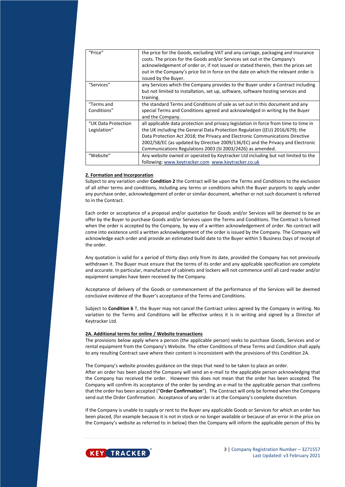| "Price"             | the price for the Goods, excluding VAT and any carriage, packaging and insurance<br>costs. The prices for the Goods and/or Services set out in the Company's |
|---------------------|--------------------------------------------------------------------------------------------------------------------------------------------------------------|
|                     | acknowledgement of order or, if not issued or stated therein, then the prices set                                                                            |
|                     | out in the Company's price list in force on the date on which the relevant order is                                                                          |
|                     | issued by the Buyer.                                                                                                                                         |
| "Services"          | any Services which the Company provides to the Buyer under a Contract including                                                                              |
|                     | but not limited to installation, set up, software, software hosting services and                                                                             |
|                     | training.                                                                                                                                                    |
| "Terms and          | the standard Terms and Conditions of sale as set out in this document and any                                                                                |
| Conditions"         | special Terms and Conditions agreed and acknowledged in writing by the Buyer                                                                                 |
|                     | and the Company.                                                                                                                                             |
| "UK Data Protection | all applicable data protection and privacy legislation in force from time to time in                                                                         |
| Legislation"        | the UK including the General Data Protection Regulation ((EU) 2016/679); the                                                                                 |
|                     | Data Protection Act 2018; the Privacy and Electronic Communications Directive                                                                                |
|                     | 2002/58/EC (as updated by Directive 2009/136/EC) and the Privacy and Electronic                                                                              |
|                     | Communications Regulations 2003 (SI 2003/2426) as amended.                                                                                                   |
| "Website"           | Any website owned or operated by Keytracker Ltd including but not limited to the                                                                             |
|                     | following: www.keytracker.com www.keytracker.co.uk                                                                                                           |

## **2. Formation and Incorporation**

Subject to any variation under **Condition 2** the Contract will be upon the Terms and Conditions to the exclusion of all other terms and conditions, including any terms or conditions which the Buyer purports to apply under any purchase order, acknowledgement of order or similar document, whether or not such document is referred to in the Contract.

Each order or acceptance of a proposal and/or quotation for Goods and/or Services will be deemed to be an offer by the Buyer to purchase Goods and/or Services upon the Terms and Conditions. The Contract is formed when the order is accepted by the Company, by way of a written acknowledgement of order. No contract will come into existence until a written acknowledgement of the order is issued by the Company. The Company will acknowledge each order and provide an estimated build date to the Buyer within 5 Business Days of receipt of the order.

Any quotation is valid for a period of thirty days only from its date, provided the Company has not previously withdrawn it. The Buyer must ensure that the terms of its order and any applicable specification are complete and accurate. In particular, manufacture of cabinets and lockers will not commence until all card reader and/or equipment samples have been received by the Company.

Acceptance of delivery of the Goods or commencement of the performance of the Services will be deemed conclusive evidence of the Buyer's acceptance of the Terms and Conditions.

Subject to **Condition 6** T, the Buyer may not cancel the Contract unless agreed by the Company in writing. No variation to the Terms and Conditions will be effective unless it is in writing and signed by a Director of Keytracker Ltd.

## **2A. Additional terms for online / Website transactions**

The provisions below apply where a person (the applicable person) seeks to purchase Goods, Services and or rental equipment from the Company's Website. The other Conditions of these Terms and Condition shall apply to any resulting Contract save where their content is inconsistent with the provisions of this Condition 2A.

The Company's website provides guidance on the steps that need to be taken to place an order.

After an order has been placed the Company will send an e-mail to the applicable person acknowledging that the Company has received the order. However this does not mean that the order has been accepted. The Company will confirm its acceptance of the order by sending an e-mail to the applicable person that confirms that the order has been accepted ("**Order Confirmation**"). The Contract will only be formed when the Company send out the Order Confirmation. Acceptance of any order is at the Company's complete discretion.

If the Company is unable to supply or rent to the Buyer any applicable Goods or Services for which an order has been placed, (for example because it is not in stock or no longer available or because of an error in the price on the Company's website as referred to in below) then the Company will inform the applicable person of this by

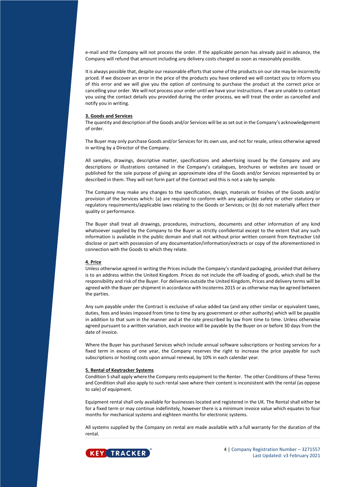e-mail and the Company will not process the order. If the applicable person has already paid in advance, the Company will refund that amount including any delivery costs charged as soon as reasonably possible.

It is always possible that, despite our reasonable efforts that some of the products on our site may be incorrectly priced. If we discover an error in the price of the products you have ordered we will contact you to inform you of this error and we will give you the option of continuing to purchase the product at the correct price or cancelling your order. We will not process your order until we have your instructions. If we are unable to contact you using the contact details you provided during the order process, we will treat the order as cancelled and notify you in writing.

## **3. Goods and Services**

The quantity and description of the Goods and/or Services will be as set out in the Company's acknowledgement of order.

The Buyer may only purchase Goods and/or Services for its own use, and not for resale, unless otherwise agreed in writing by a Director of the Company.

All samples, drawings, descriptive matter, specifications and advertising issued by the Company and any descriptions or illustrations contained in the Company's catalogues, brochures or websites are issued or published for the sole purpose of giving an approximate idea of the Goods and/or Services represented by or described in them. They will not form part of the Contract and this is not a sale by sample.

The Company may make any changes to the specification, design, materials or finishes of the Goods and/or provision of the Services which: (a) are required to conform with any applicable safety or other statutory or regulatory requirements/applicable laws relating to the Goods or Services; or (b) do not materially affect their quality or performance.

The Buyer shall treat all drawings, procedures, instructions, documents and other information of any kind whatsoever supplied by the Company to the Buyer as strictly confidential except to the extent that any such information is available in the public domain and shall not without prior written consent from Keytracker Ltd disclose or part with possession of any documentation/information/extracts or copy of the aforementioned in connection with the Goods to which they relate.

## **4. Price**

Unless otherwise agreed in writing the Prices include the Company's standard packaging, provided that delivery is to an address within the United Kingdom. Prices do not include the off-loading of goods, which shall be the responsibility and risk of the Buyer. For deliveries outside the United Kingdom, Prices and delivery terms will be agreed with the Buyer per shipment in accordance with Incoterms 2015 or as otherwise may be agreed between the parties.

Any sum payable under the Contract is exclusive of value added tax (and any other similar or equivalent taxes, duties, fees and levies imposed from time to time by any government or other authority) which will be payable in addition to that sum in the manner and at the rate prescribed by law from time to time. Unless otherwise agreed pursuant to a written variation, each invoice will be payable by the Buyer on or before 30 days from the date of invoice.

Where the Buyer has purchased Services which include annual software subscriptions or hosting services for a fixed term in excess of one year, the Company reserves the right to increase the price payable for such subscriptions or hosting costs upon annual renewal, by 10% in each calendar year.

#### **5. Rental of Keytracker Systems**

Condition 5 shall apply where the Company rents equipment to the Renter. The other Conditions of these Terms and Condition shall also apply to such rental save where their content is inconsistent with the rental (as oppose to sale) of equipment.

Equipment rental shall only available for businesses located and registered in the UK. The Rental shall either be for a fixed term or may continue indefinitely, however there is a minimum invoice value which equates to four months for mechanical systems and eighteen months for electronic systems.

All systems supplied by the Company on rental are made available with a full warranty for the duration of the rental.

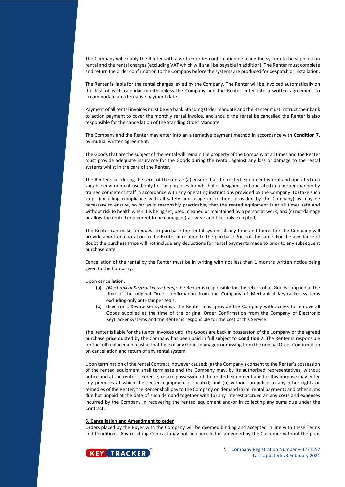The Company will supply the Renter with a written order confirmation detailing the system to be supplied on rental and the rental charges (excluding VAT which will shall be payable in addition), The Renter must complete and return the order confirmation to the Company before the systems are produced for despatch or installation.

The Renter is liable for the rental charges levied by the Company**.** The Renter will be invoiced automatically on the first of each calendar month unless the Company and the Renter enter into a written agreement to accommodate an alternative payment date.

Payment of all rental invoices must be via bank Standing Order mandate and the Renter must instruct their bank to action payment to cover the monthly rental invoice, and should the rental be cancelled the Renter is also responsible for the cancellation of the Standing Order Mandate.

The Company and the Renter may enter into an alternative payment method in accordance with **Condition 7,** by mutual written agreement.

The Goods that are the subject of the rental will remain the property of the Company at all times and the Renter must provide adequate insurance for the Goods during the rental, against any loss or damage to the rental systems whilst in the care of the Renter.

The Renter shall during the term of the rental: (a) ensure that the rented equipment is kept and operated in a suitable environment used only for the purposes for which it is designed, and operated in a proper manner by trained competent staff in accordance with any operating instructions provided by the Company; (b) take such steps (including compliance with all safety and usage instructions provided by the Company) as may be necessary to ensure, so far as is reasonably practicable, that the rented equipment is at all times safe and without risk to health when it is being set, used, cleaned or maintained by a person at work; and (c) not damage or allow the rented equipment to be damaged (fair wear and tear only excepted).

The Renter can make a request to purchase the rental system at any time and thereafter the Company will provide a written quotation to the Renter in relation to the purchase Price of the same. For the avoidance of doubt the purchase Price will not include any deductions for rental payments made to prior to any subsequent purchase date.

Cancellation of the rental by the Renter must be in writing with not less than 1 months written notice being given to the Company.

Upon cancellation:

- (a) *(Mechanical Keytracker systems):* the Renter is responsible for the return of all Goods supplied at the time of the original Order confirmation from the Company of Mechanical Keytracker systems excluding only anti-tamper seals.
- (b) (Electronic Keytracker systems): the Renter must provide the Company with access to remove all Goods supplied at the time of the original Order Confirmation from the Company of Electronic Keytracker systems and the Renter is responsible for the cost of this Service.

The Renter is liable for the Rental invoices until the Goods are back in possession of the Company or the agreed purchase price quoted by the Company has been paid in full subject to **Condition 7.** The Renter is responsible for the full replacement cost at that time of any Goods damaged or missing from the original Order Confirmation on cancellation and return of any rental system.

Upon termination of the rental Contract, however caused: (a) the Company's consent to the Renter's possession of the rented equipment shall terminate and the Company may, by its authorised representatives, without notice and at the renter's expense, retake possession of the rented equipment and for this purpose may enter any premises at which the rented equipment is located; and (b) without prejudice to any other rights or remedies of the Renter, the Renter shall pay to the Company on demand (a) all rental payments and other sums due but unpaid at the date of such demand together with (b) any interest accrued an any costs and expenses incurred by the Company in recovering the rented equipment and/or in collecting any sums due under the Contract.

## **6. Cancellation and Amendment to order**

Orders placed by the Buyer with the Company will be deemed binding and accepted in line with these Terms and Conditions. Any resulting Contract may not be cancelled or amended by the Customer without the prior

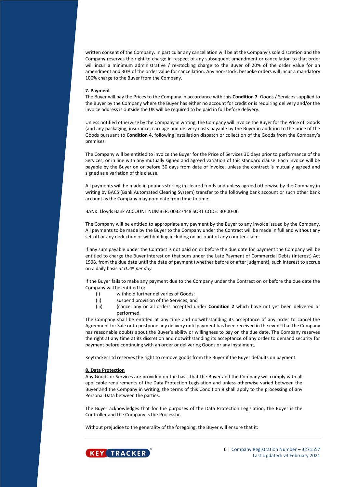written consent of the Company. In particular any cancellation will be at the Company's sole discretion and the Company reserves the right to charge in respect of any subsequent amendment or cancellation to that order will incur a minimum administrative / re-stocking charge to the Buyer of 20% of the order value for an amendment and 30% of the order value for cancellation. Any non-stock, bespoke orders will incur a mandatory 100% charge to the Buyer from the Company.

#### **7. Payment**

The Buyer will pay the Prices to the Company in accordance with this **Condition 7**. Goods / Services supplied to the Buyer by the Company where the Buyer has either no account for credit or is requiring delivery and/or the invoice address is outside the UK will be required to be paid in full before delivery.

Unless notified otherwise by the Company in writing, the Company will invoice the Buyer for the Price of Goods (and any packaging, insurance, carriage and delivery costs payable by the Buyer in addition to the price of the Goods pursuant to **Condition 4,** following installation dispatch or collection of the Goods from the Company's premises.

The Company will be entitled to invoice the Buyer for the Price of Services 30 days prior to performance of the Services, or in line with any mutually signed and agreed variation of this standard clause. Each invoice will be payable by the Buyer on or before 30 days from date of invoice, unless the contract is mutually agreed and signed as a variation of this clause.

All payments will be made in pounds sterling in cleared funds and unless agreed otherwise by the Company in writing by BACS (Bank Automated Clearing System) transfer to the following bank account or such other bank account as the Company may nominate from time to time:

BANK: Lloyds Bank ACCOUNT NUMBER: 00327448 SORT CODE: 30-00-06

The Company will be entitled to appropriate any payment by the Buyer to any invoice issued by the Company. All payments to be made by the Buyer to the Company under the Contract will be made in full and without any set-off or any deduction or withholding including on account of any counter-claim.

If any sum payable under the Contract is not paid on or before the due date for payment the Company will be entitled to charge the Buyer interest on that sum under the Late Payment of Commercial Debts (Interest) Act 1998. from the due date until the date of payment (whether before or after judgment), such interest to accrue on a daily basis *at 0.2% per day.*

If the Buyer fails to make any payment due to the Company under the Contract on or before the due date the Company will be entitled to:

- (i) withhold further deliveries of Goods;
- (ii) suspend provision of the Services; and
- (iii) (cancel any or all orders accepted under **Condition 2** which have not yet been delivered or performed.

The Company shall be entitled at any time and notwithstanding its acceptance of any order to cancel the Agreement for Sale or to postpone any delivery until payment has been received in the event that the Company has reasonable doubts about the Buyer's ability or willingness to pay on the due date. The Company reserves the right at any time at its discretion and notwithstanding its acceptance of any order to demand security for payment before continuing with an order or delivering Goods or any instalment.

Keytracker Ltd reserves the right to remove goods from the Buyer if the Buyer defaults on payment.

#### **8. Data Protection**

Any Goods or Services are provided on the basis that the Buyer and the Company will comply with all applicable requirements of the Data Protection Legislation and unless otherwise varied between the Buyer and the Company in writing, the terms of this Condition 8 shall apply to the processing of any Personal Data between the parties.

The Buyer acknowledges that for the purposes of the Data Protection Legislation, the Buyer is the Controller and the Company is the Processor.

Without prejudice to the generality of the foregoing, the Buyer will ensure that it:

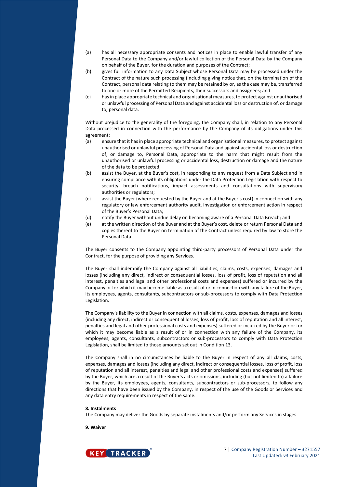- (a) has all necessary appropriate consents and notices in place to enable lawful transfer of any Personal Data to the Company and/or lawful collection of the Personal Data by the Company on behalf of the Buyer, for the duration and purposes of the Contract;
- (b) gives full information to any Data Subject whose Personal Data may be processed under the Contract of the nature such processing (including giving notice that, on the termination of the Contract, personal data relating to them may be retained by or, as the case may be, transferred to one or more of the Permitted Recipients, their successors and assignees; and
- (c) has in place appropriate technical and organisational measures, to protect against unauthorised or unlawful processing of Personal Data and against accidental loss or destruction of, or damage to, personal data.

Without prejudice to the generality of the foregoing, the Company shall, in relation to any Personal Data processed in connection with the performance by the Company of its obligations under this agreement:

- (a) ensure that it has in place appropriate technical and organisational measures, to protect against unauthorised or unlawful processing of Personal Data and against accidental loss or destruction of, or damage to, Personal Data, appropriate to the harm that might result from the unauthorised or unlawful processing or accidental loss, destruction or damage and the nature of the data to be protected;
- (b) assist the Buyer, at the Buyer's cost, in responding to any request from a Data Subject and in ensuring compliance with its obligations under the Data Protection Legislation with respect to security, breach notifications, impact assessments and consultations with supervisory authorities or regulators;
- (c) assist the Buyer (where requested by the Buyer and at the Buyer's cost) in connection with any regulatory or law enforcement authority audit, investigation or enforcement action in respect of the Buyer's Personal Data;
- (d) notify the Buyer without undue delay on becoming aware of a Personal Data Breach; and
- (e) at the written direction of the Buyer and at the Buyer's cost, delete or return Personal Data and copies thereof to the Buyer on termination of the Contract unless required by law to store the Personal Data.

The Buyer consents to the Company appointing third-party processors of Personal Data under the Contract, for the purpose of providing any Services.

The Buyer shall indemnify the Company against all liabilities, claims, costs, expenses, damages and losses (including any direct, indirect or consequential losses, loss of profit, loss of reputation and all interest, penalties and legal and other professional costs and expenses) suffered or incurred by the Company or for which it may become liable as a result of or in connection with any failure of the Buyer, its employees, agents, consultants, subcontractors or sub-processors to comply with Data Protection Legislation.

The Company's liability to the Buyer in connection with all claims, costs, expenses, damages and losses (including any direct, indirect or consequential losses, loss of profit, loss of reputation and all interest, penalties and legal and other professional costs and expenses) suffered or incurred by the Buyer or for which it may become liable as a result of or in connection with any failure of the Company, its employees, agents, consultants, subcontractors or sub-processors to comply with Data Protection Legislation, shall be limited to those amounts set out in Condition 13.

The Company shall in no circumstances be liable to the Buyer in respect of any all claims, costs, expenses, damages and losses (including any direct, indirect or consequential losses, loss of profit, loss of reputation and all interest, penalties and legal and other professional costs and expenses) suffered by the Buyer, which are a result of the Buyer's acts or omissions, including (but not limited to) a failure by the Buyer, its employees, agents, consultants, subcontractors or sub-processors, to follow any directions that have been issued by the Company, in respect of the use of the Goods or Services and any data entry requirements in respect of the same.

## **8. Instalments**

The Company may deliver the Goods by separate instalments and/or perform any Services in stages.

**9. Waiver**

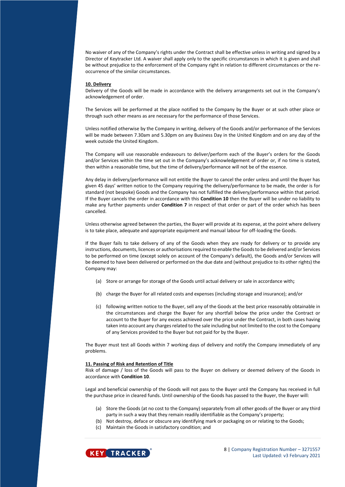No waiver of any of the Company's rights under the Contract shall be effective unless in writing and signed by a Director of Keytracker Ltd. A waiver shall apply only to the specific circumstances in which it is given and shall be without prejudice to the enforcement of the Company right in relation to different circumstances or the reoccurrence of the similar circumstances.

#### **10. Delivery**

Delivery of the Goods will be made in accordance with the delivery arrangements set out in the Company's acknowledgement of order.

The Services will be performed at the place notified to the Company by the Buyer or at such other place or through such other means as are necessary for the performance of those Services.

Unless notified otherwise by the Company in writing, delivery of the Goods and/or performance of the Services will be made between 7.30am and 5.30pm on any Business Day in the United Kingdom and on any day of the week outside the United Kingdom.

The Company will use reasonable endeavours to deliver/perform each of the Buyer's orders for the Goods and/or Services within the time set out in the Company's acknowledgement of order or, if no time is stated, then within a reasonable time, but the time of delivery/performance will not be of the essence.

Any delay in delivery/performance will not entitle the Buyer to cancel the order unless and until the Buyer has given 45 days' written notice to the Company requiring the delivery/performance to be made, the order is for standard (not bespoke) Goods and the Company has not fulfilled the delivery/performance within that period. If the Buyer cancels the order in accordance with this **Condition 10** then the Buyer will be under no liability to make any further payments under **Condition 7** in respect of that order or part of the order which has been cancelled.

Unless otherwise agreed between the parties, the Buyer will provide at its expense, at the point where delivery is to take place, adequate and appropriate equipment and manual labour for off-loading the Goods.

If the Buyer fails to take delivery of any of the Goods when they are ready for delivery or to provide any instructions, documents, licences or authorisations required to enable the Goods to be delivered and/or Services to be performed on time (except solely on account of the Company's default), the Goods and/or Services will be deemed to have been delivered or performed on the due date and (without prejudice to its other rights) the Company may:

- (a) Store or arrange for storage of the Goods until actual delivery or sale in accordance with**;**
- (b) charge the Buyer for all related costs and expenses (including storage and insurance); and/or
- (c) following written notice to the Buyer, sell any of the Goods at the best price reasonably obtainable in the circumstances and charge the Buyer for any shortfall below the price under the Contract or account to the Buyer for any excess achieved over the price under the Contract, in both cases having taken into account any charges related to the sale including but not limited to the cost to the Company of any Services provided to the Buyer but not paid for by the Buyer.

The Buyer must test all Goods within 7 working days of delivery and notify the Company immediately of any problems.

## **11. Passing of Risk and Retention of Title**

Risk of damage / loss of the Goods will pass to the Buyer on delivery or deemed delivery of the Goods in accordance with **Condition 10**.

Legal and beneficial ownership of the Goods will not pass to the Buyer until the Company has received in full the purchase price in cleared funds. Until ownership of the Goods has passed to the Buyer, the Buyer will:

- (a) Store the Goods (at no cost to the Company) separately from all other goods of the Buyer or any third party in such a way that they remain readily identifiable as the Company's property;
- (b) Not destroy, deface or obscure any identifying mark or packaging on or relating to the Goods;
- (c) Maintain the Goods in satisfactory condition; and

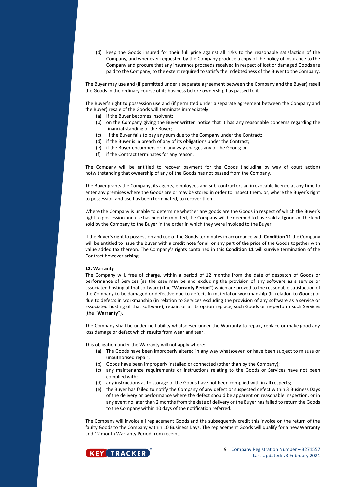(d) keep the Goods insured for their full price against all risks to the reasonable satisfaction of the Company, and whenever requested by the Company produce a copy of the policy of insurance to the Company and procure that any insurance proceeds received in respect of lost or damaged Goods are paid to the Company, to the extent required to satisfy the indebtedness of the Buyer to the Company.

The Buyer may use and (if permitted under a separate agreement between the Company and the Buyer) resell the Goods in the ordinary course of its business before ownership has passed to it,

The Buyer's right to possession use and (if permitted under a separate agreement between the Company and the Buyer) resale of the Goods will terminate immediately:

- (a) If the Buyer becomes Insolvent;
- (b) on the Company giving the Buyer written notice that it has any reasonable concerns regarding the financial standing of the Buyer;
- (c) if the Buyer fails to pay any sum due to the Company under the Contract;
- (d) if the Buyer is in breach of any of its obligations under the Contract;
- (e) if the Buyer encumbers or in any way charges any of the Goods; or
- (f) if the Contract terminates for any reason.

The Company will be entitled to recover payment for the Goods (including by way of court action) notwithstanding that ownership of any of the Goods has not passed from the Company.

The Buyer grants the Company, its agents, employees and sub-contractors an irrevocable licence at any time to enter any premises where the Goods are or may be stored in order to inspect them, or, where the Buyer's right to possession and use has been terminated, to recover them.

Where the Company is unable to determine whether any goods are the Goods in respect of which the Buyer's right to possession and use has been terminated, the Company will be deemed to have sold all goods of the kind sold by the Company to the Buyer in the order in which they were invoiced to the Buyer.

If the Buyer's right to possession and use of the Goods terminates in accordance with **Condition 11** the Company will be entitled to issue the Buyer with a credit note for all or any part of the price of the Goods together with value added tax thereon. The Company's rights contained in this **Condition 11** will survive termination of the Contract however arising.

# **12. Warranty**

The Company will, free of charge, within a period of 12 months from the date of despatch of Goods or performance of Services (as the case may be and excluding the provision of any software as a service or associated hosting of that software) (the "**Warranty Period**") which are proved to the reasonable satisfaction of the Company to be damaged or defective due to defects in material or workmanship (in relation to Goods) or due to defects in workmanship (in relation to Services excluding the provision of any software as a service or associated hosting of that software), repair, or at its option replace, such Goods or re-perform such Services (the "**Warranty**").

The Company shall be under no liability whatsoever under the Warranty to repair, replace or make good any loss damage or defect which results from wear and tear.

This obligation under the Warranty will not apply where:

- (a) The Goods have been improperly altered in any way whatsoever, or have been subject to misuse or unauthorised repair;
- (b) Goods have been improperly installed or connected (other than by the Company);
- (c) any maintenance requirements or instructions relating to the Goods or Services have not been complied with;
- (d) any instructions as to storage of the Goods have not been complied with in all respects;
- (e) the Buyer has failed to notify the Company of any defect or suspected defect within 3 Business Days of the delivery or performance where the defect should be apparent on reasonable inspection, or in any event no later than 2 months from the date of delivery or the Buyer has failed to return the Goods to the Company within 10 days of the notification referred.

The Company will invoice all replacement Goods and the subsequently credit this invoice on the return of the faulty Goods to the Company within 10 Business Days. The replacement Goods will qualify for a new Warranty and 12 month Warranty Period from receipt.

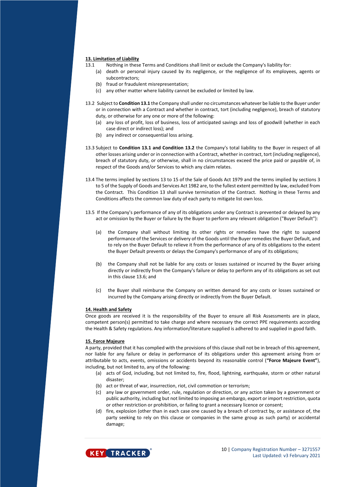## **13. Limitation of Liability**

- 13.1 Nothing in these Terms and Conditions shall limit or exclude the Company's liability for:
	- (a) death or personal injury caused by its negligence, or the negligence of its employees, agents or subcontractors;
	- (b) fraud or fraudulent misrepresentation;
	- (c) any other matter where liability cannot be excluded or limited by law.
- 13.2 Subject to **Condition 13.1** the Company shall under no circumstances whatever be liable to the Buyer under or in connection with a Contract and whether in contract, tort (including negligence), breach of statutory duty, or otherwise for any one or more of the following:
	- (a) any loss of profit, loss of business, loss of anticipated savings and loss of goodwill (whether in each case direct or indirect loss); and
	- (b) any indirect or consequential loss arising.
- 13.3 Subject to **Condition 13.1 and Condition 13.2** the Company's total liability to the Buyer in respect of all other losses arising under or in connection with a Contract, whether in contract, tort (including negligence), breach of statutory duty, or otherwise, shall in no circumstances exceed the price paid or payable of, in respect of the Goods and/or Services to which any claim relates.
- 13.4 The terms implied by sections 13 to 15 of the Sale of Goods Act 1979 and the terms implied by sections 3 to 5 of the Supply of Goods and Services Act 1982 are, to the fullest extent permitted by law, excluded from the Contract. This Condition 13 shall survive termination of the Contract. Nothing in these Terms and Conditions affects the common law duty of each party to mitigate list own loss.
- 13.5 If the Company's performance of any of its obligations under any Contract is prevented or delayed by any act or omission by the Buyer or failure by the Buyer to perform any relevant obligation ("Buyer Default"):
	- (a) the Company shall without limiting its other rights or remedies have the right to suspend performance of the Services or delivery of the Goods until the Buyer remedies the Buyer Default, and to rely on the Buyer Default to relieve it from the performance of any of its obligations to the extent the Buyer Default prevents or delays the Company's performance of any of its obligations;
	- (b) the Company shall not be liable for any costs or losses sustained or incurred by the Buyer arising directly or indirectly from the Company's failure or delay to perform any of its obligations as set out in this clause 13.6; and
	- (c) the Buyer shall reimburse the Company on written demand for any costs or losses sustained or incurred by the Company arising directly or indirectly from the Buyer Default.

## **14. Health and Safety**

Once goods are received it is the responsibility of the Buyer to ensure all Risk Assessments are in place, competent person(s) permitted to take charge and where necessary the correct PPE requirements according the Health & Safety regulations. Any information/literature supplied is adhered to and supplied in good faith.

## **15. Force Majeure**

A party, provided that it has complied with the provisions of this clause shall not be in breach of this agreement, nor liable for any failure or delay in performance of its obligations under this agreement arising from or attributable to acts, events, omissions or accidents beyond its reasonable control (**"Force Majeure Event"**), including, but not limited to, any of the following:

- (a) acts of God, including, but not limited to, fire, flood, lightning, earthquake, storm or other natural disaster;
- (b) act or threat of war, insurrection, riot, civil commotion or terrorism;
- (c) any law or government order, rule, regulation or direction, or any action taken by a government or public authority, including but not limited to imposing an embargo, export or import restriction, quota or other restriction or prohibition, or failing to grant a necessary licence or consent;
- (d) fire, explosion (other than in each case one caused by a breach of contract by, or assistance of, the party seeking to rely on this clause or companies in the same group as such party) or accidental damage;



10 | Company Registration Number - 3271557 Last Updated: v3 February 2021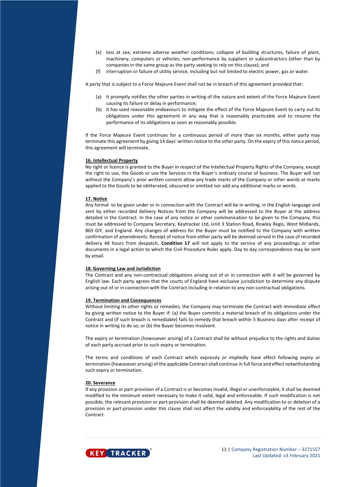- (e) loss at sea; extreme adverse weather conditions; collapse of building structures, failure of plant, machinery, computers or vehicles; non-performance by suppliers or subcontractors (other than by companies in the same group as the party seeking to rely on this clause); and
- (f) interruption or failure of utility service, including but not limited to electric power, gas or water.

A party that is subject to a Force Majeure Event shall not be in breach of this agreement provided that:

- (a) it promptly notifies the other parties in writing of the nature and extent of the Force Majeure Event causing its failure or delay in performance;
- (b) it has used reasonable endeavours to mitigate the effect of the Force Majeure Event to carry out its obligations under this agreement in any way that is reasonably practicable and to resume the performance of its obligations as soon as reasonably possible.

If the Force Majeure Event continues for a continuous period of more than six months, either party may terminate this agreement by giving 14 days' written notice to the other party. On the expiry of this notice period, this agreement will terminate.

# **16. Intellectual Property**

No right or licence is granted to the Buyer in respect of the Intellectual Property Rights of the Company, except the right to use, the Goods or use the Services in the Buyer's ordinary course of business. The Buyer will not without the Company's prior written consent allow any trade marks of the Company or other words or marks applied to the Goods to be obliterated, obscured or omitted nor add any additional marks or words.

## **17. Notice**

Any formal to be given under or in connection with the Contract will be in writing, in the English language and sent by either recorded delivery Notices from the Company will be addressed to the Buyer at the address detailed in the Contract. In the case of any notice or other communication to be given to the Company, this must be addressed to Company Secretary, Keytracker Ltd, Unit 3 Station Road, Rowley Regis, West Midlands, B65 0JY, and England. Any changes of address for the Buyer must be notified to the Company with written confirmation of amendments. Receipt of notice from either party will be deemed served in the case of recorded delivery 48 hours from despatch**. Condition 17** will not apply to the service of any proceedings or other documents in a legal action to which the Civil Procedure Rules apply. Day to day correspondence may be sent by email.

## **18. Governing Law and Jurisdiction**

The Contract and any non-contractual obligations arising out of or in connection with it will be governed by English law. Each party agrees that the courts of England have exclusive jurisdiction to determine any dispute arising out of or in connection with the Contract including in relation to any non-contractual obligations.

## **19. Termination and Consequences**

Without limiting its other rights or remedies, the Company may terminate the Contract with immediate effect by giving written notice to the Buyer if: (a) the Buyer commits a material breach of its obligations under the Contract and (if such breach is remediable) fails to remedy that breach within 5 Business days after receipt of notice in writing to do so; or (b) the Buyer becomes insolvent.

The expiry or termination (howsoever arising) of a Contract shall be without prejudice to the rights and duties of each party accrued prior to such expiry or termination.

The terms and conditions of each Contract which expressly or impliedly have effect following expiry or termination (howsoever arising) of the applicable Contract shall continue in full force and effect notwithstanding such expiry or termination.

## **20. Severance**

If any provision or part-provision of a Contract is or becomes invalid, illegal or unenforceable, it shall be deemed modified to the minimum extent necessary to make it valid, legal and enforceable. If such modification is not possible, the relevant provision or part-provision shall be deemed deleted. Any modification to or deletion of a provision or part-provision under this clause shall not affect the validity and enforceability of the rest of the **Contract**